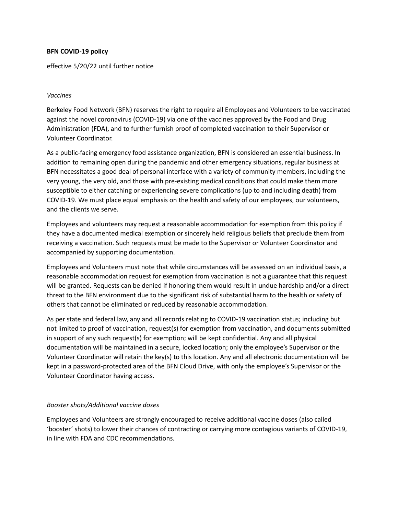#### **BFN COVID-19 policy**

effective 5/20/22 until further notice

### *Vaccines*

Berkeley Food Network (BFN) reserves the right to require all Employees and Volunteers to be vaccinated against the novel coronavirus (COVID-19) via one of the vaccines approved by the Food and Drug Administration (FDA), and to further furnish proof of completed vaccination to their Supervisor or Volunteer Coordinator.

As a public-facing emergency food assistance organization, BFN is considered an essential business. In addition to remaining open during the pandemic and other emergency situations, regular business at BFN necessitates a good deal of personal interface with a variety of community members, including the very young, the very old, and those with pre-existing medical conditions that could make them more susceptible to either catching or experiencing severe complications (up to and including death) from COVID-19. We must place equal emphasis on the health and safety of our employees, our volunteers, and the clients we serve.

Employees and volunteers may request a reasonable accommodation for exemption from this policy if they have a documented medical exemption or sincerely held religious beliefs that preclude them from receiving a vaccination. Such requests must be made to the Supervisor or Volunteer Coordinator and accompanied by supporting documentation.

Employees and Volunteers must note that while circumstances will be assessed on an individual basis, a reasonable accommodation request for exemption from vaccination is not a guarantee that this request will be granted. Requests can be denied if honoring them would result in undue hardship and/or a direct threat to the BFN environment due to the significant risk of substantial harm to the health or safety of others that cannot be eliminated or reduced by reasonable accommodation.

As per state and federal law, any and all records relating to COVID-19 vaccination status; including but not limited to proof of vaccination, request(s) for exemption from vaccination, and documents submitted in support of any such request(s) for exemption; will be kept confidential. Any and all physical documentation will be maintained in a secure, locked location; only the employee's Supervisor or the Volunteer Coordinator will retain the key(s) to this location. Any and all electronic documentation will be kept in a password-protected area of the BFN Cloud Drive, with only the employee's Supervisor or the Volunteer Coordinator having access.

# *Booster shots/Additional vaccine doses*

Employees and Volunteers are strongly encouraged to receive additional vaccine doses (also called 'booster' shots) to lower their chances of contracting or carrying more contagious variants of COVID-19, in line with FDA and CDC recommendations.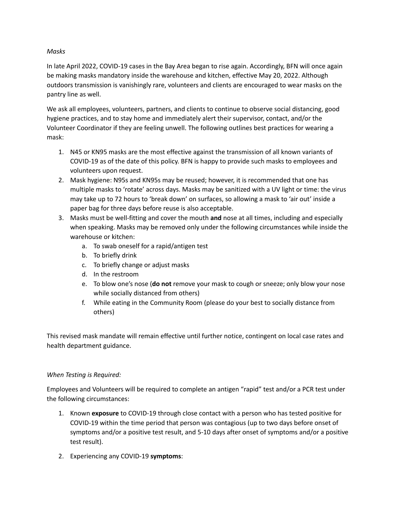### *Masks*

In late April 2022, COVID-19 cases in the Bay Area began to rise again. Accordingly, BFN will once again be making masks mandatory inside the warehouse and kitchen, effective May 20, 2022. Although outdoors transmission is vanishingly rare, volunteers and clients are encouraged to wear masks on the pantry line as well.

We ask all employees, volunteers, partners, and clients to continue to observe social distancing, good hygiene practices, and to stay home and immediately alert their supervisor, contact, and/or the Volunteer Coordinator if they are feeling unwell. The following outlines best practices for wearing a mask:

- 1. N45 or KN95 masks are the most effective against the transmission of all known variants of COVID-19 as of the date of this policy. BFN is happy to provide such masks to employees and volunteers upon request.
- 2. Mask hygiene: N95s and KN95s may be reused; however, it is recommended that one has multiple masks to 'rotate' across days. Masks may be sanitized with a UV light or time: the virus may take up to 72 hours to 'break down' on surfaces, so allowing a mask to 'air out' inside a paper bag for three days before reuse is also acceptable.
- 3. Masks must be well-fitting and cover the mouth **and** nose at all times, including and especially when speaking. Masks may be removed only under the following circumstances while inside the warehouse or kitchen:
	- a. To swab oneself for a rapid/antigen test
	- b. To briefly drink
	- c. To briefly change or adjust masks
	- d. In the restroom
	- e. To blow one's nose (**do not** remove your mask to cough or sneeze; only blow your nose while socially distanced from others)
	- f. While eating in the Community Room (please do your best to socially distance from others)

This revised mask mandate will remain effective until further notice, contingent on local case rates and health department guidance.

# *When Testing is Required:*

Employees and Volunteers will be required to complete an antigen "rapid" test and/or a PCR test under the following circumstances:

- 1. Known **exposure** to COVID-19 through close contact with a person who has tested positive for COVID-19 within the time period that person was contagious (up to two days before onset of symptoms and/or a positive test result, and 5-10 days after onset of symptoms and/or a positive test result).
- 2. Experiencing any COVID-19 **symptoms**: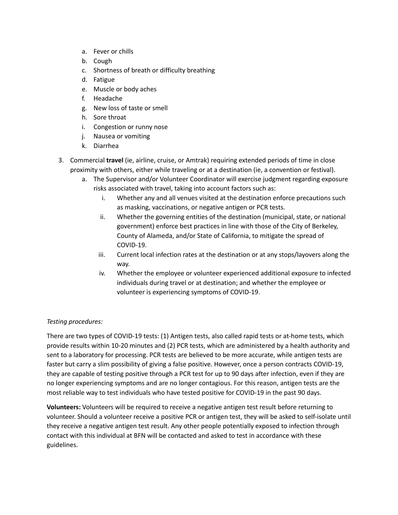- a. Fever or chills
- b. Cough
- c. Shortness of breath or difficulty breathing
- d. Fatigue
- e. Muscle or body aches
- f. Headache
- g. New loss of taste or smell
- h. Sore throat
- i. Congestion or runny nose
- j. Nausea or vomiting
- k. Diarrhea
- 3. Commercial **travel** (ie, airline, cruise, or Amtrak) requiring extended periods of time in close proximity with others, either while traveling or at a destination (ie, a convention or festival).
	- a. The Supervisor and/or Volunteer Coordinator will exercise judgment regarding exposure risks associated with travel, taking into account factors such as:
		- i. Whether any and all venues visited at the destination enforce precautions such as masking, vaccinations, or negative antigen or PCR tests.
		- ii. Whether the governing entities of the destination (municipal, state, or national government) enforce best practices in line with those of the City of Berkeley, County of Alameda, and/or State of California, to mitigate the spread of COVID-19.
		- iii. Current local infection rates at the destination or at any stops/layovers along the way.
		- iv. Whether the employee or volunteer experienced additional exposure to infected individuals during travel or at destination; and whether the employee or volunteer is experiencing symptoms of COVID-19.

# *Testing procedures:*

There are two types of COVID-19 tests: (1) Antigen tests, also called rapid tests or at-home tests, which provide results within 10-20 minutes and (2) PCR tests, which are administered by a health authority and sent to a laboratory for processing. PCR tests are believed to be more accurate, while antigen tests are faster but carry a slim possibility of giving a false positive. However, once a person contracts COVID-19, they are capable of testing positive through a PCR test for up to 90 days after infection, even if they are no longer experiencing symptoms and are no longer contagious. For this reason, antigen tests are the most reliable way to test individuals who have tested positive for COVID-19 in the past 90 days.

**Volunteers:** Volunteers will be required to receive a negative antigen test result before returning to volunteer. Should a volunteer receive a positive PCR or antigen test, they will be asked to self-isolate until they receive a negative antigen test result. Any other people potentially exposed to infection through contact with this individual at BFN will be contacted and asked to test in accordance with these guidelines.